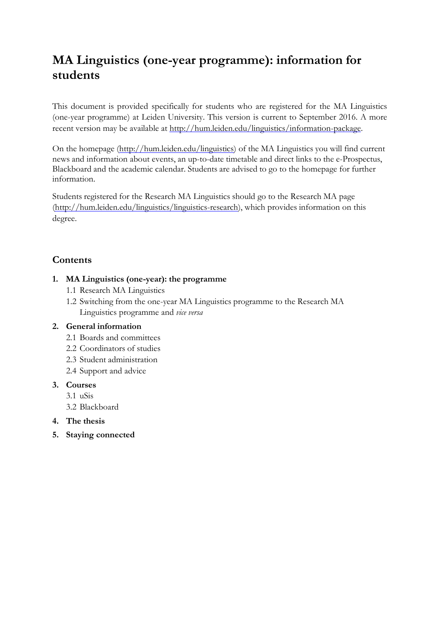# **MA Linguistics (one-year programme): information for students**

This document is provided specifically for students who are registered for the MA Linguistics (one-year programme) at Leiden University. This version is current to September 2016. A more recent version may be available at [http://hum.leiden.edu/linguistics/information-package.](http://hum.leiden.edu/linguistics/information-package)

On the homepage (http://hum.leiden.edu/linguistics) of the MA Linguistics you will find current news and information about events, an up-to-date timetable and direct links to the e-Prospectus, Blackboard and the academic calendar. Students are advised to go to the homepage for further information.

Students registered for the Research MA Linguistics should go to the Research [MA page](http://hum.leiden.edu/linguistics/linguistics-research/programme-linguistics-research.html) [\(http://hum.leiden.edu/linguistics/linguistics-research\),](http://hum.leiden.edu/linguistics/linguistics-research/programme-linguistics-research.html) which provides information on this degree.

# **Contents**

#### **1. MA Linguistics (one-year): the programme**

- 1.1 Research MA Linguistics
- 1.2 Switching from the one-year MA Linguistics programme to the Research MA Linguistics programme and *vice versa*

#### **2. General information**

- 2.1 Boards and committees
- 2.2 Coordinators of studies
- 2.3 Student administration
- 2.4 Support and advice

#### **3. Courses**

- 3.1 uSis
- 3.2 Blackboard
- **4. The thesis**
- **5. Staying connected**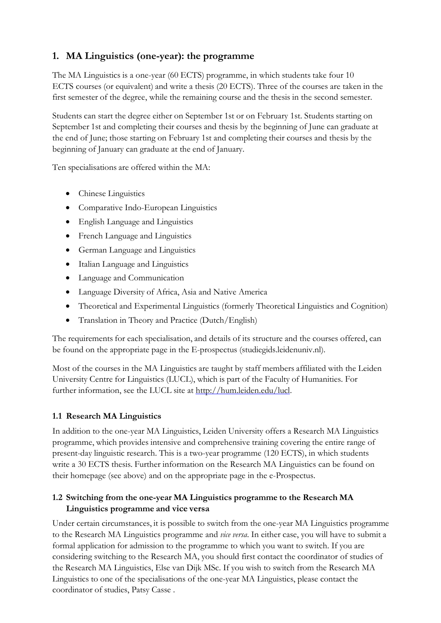# **1. MA Linguistics (one-year): the programme**

The MA Linguistics is a one-year (60 ECTS) programme, in which students take four 10 ECTS courses (or equivalent) and write a thesis (20 ECTS). Three of the courses are taken in the first semester of the degree, while the remaining course and the thesis in the second semester.

Students can start the degree either on September 1st or on February 1st. Students starting on September 1st and completing their courses and thesis by the beginning of June can graduate at the end of June; those starting on February 1st and completing their courses and thesis by the beginning of January can graduate at the end of January.

Ten specialisations are offered within the MA:

- Chinese Linguistics
- Comparative Indo-European Linguistics
- English Language and Linguistics
- French Language and Linguistics
- German Language and Linguistics
- Italian Language and Linguistics
- Language and Communication
- Language Diversity of Africa, Asia and Native America
- Theoretical and Experimental Linguistics (formerly Theoretical Linguistics and Cognition)
- Translation in Theory and Practice (Dutch/English)

The requirements for each specialisation, and details of its structure and the courses offered, can be found on the appropriate page in the E-prospectus [\(studiegids.leidenuniv.nl\).](https://studiegids.leidenuniv.nl/studies/show/2497/linguistics)

Most of the courses in the MA Linguistics are taught by staff members affiliated with the Leiden University Centre for Linguistics (LUCL), which is part of the Faculty of Humanities. For further information, see the [LUCL](http://hum.leiden.edu/lucl/) site at http://hum.leiden.edu/lucl.

## **1.1 Research MA Linguistics**

In addition to the one-year MA Linguistics, Leiden University offers a Research MA Linguistics programme, which provides intensive and comprehensive training covering the entire range of present-day linguistic research. This is a two-year programme (120 ECTS), in which students write a 30 ECTS thesis. Further information on the Research MA Linguistics can be found on their homepage (see above) and on the appropriate page in the [e-Prospectus.](https://studiegids.leidenuniv.nl/studies/show/2378/linguistics-research)

## **1.2 Switching from the one-year MA Linguistics programme to the Research MA Linguistics programme and vice versa**

Under certain circumstances, it is possible to switch from the one-year MA Linguistics programme to the Research MA Linguistics programme and *vice versa*. In either case, you will have to submit a formal application for admission to the programme to which you want to switch. If you are considering switching to the Research MA, you should first contact the coordinator of studies of the Research MA Linguistics, Else van Dijk MSc. If you wish to switch from the Research MA Linguistics to one of the specialisations of the one-year MA Linguistics, please contact the [coordinator of studies, Patsy Casse](http://hum.leiden.edu/linguistics/advice-linguistics/study-advice.html) .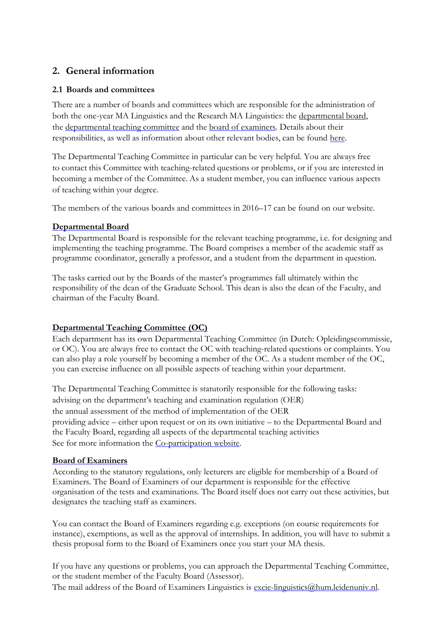## **2. General information**

#### **2.1 Boards and committees**

There are a number of boards and committees which are responsible for the administration of both the one-year MA Linguistics and the Research MA Linguistics: the [departmental](http://hum.leiden.edu/linguistics/boards-linguistics/departmental-boards-linguistics.html) board, the [departmental](http://hum.leiden.edu/linguistics/boards-linguistics/departmental-teaching-committee-linguistics.html) teaching committee and the board of [examiners.](http://hum.leiden.edu/linguistics/boards-linguistics/board-of-examiners-linguistics.html) Details about their responsibilities, as well as information about other relevant bodies, can be found [here.](http://hum.leiden.edu/linguistics/boards-linguistics/boards-committees-and-coparticipation.html)

The Departmental Teaching Committee in particular can be very helpful. You are always free to contact this Committee with teaching-related questions or problems, or if you are interested in becoming a member of the Committee. As a student member, you can influence various aspects of teaching within your degree.

The members of the various boards and committees in 2016–17 can be found on our website.

#### **[Departmental](http://hum.leiden.edu/linguistics/boards-linguistics/departmental-boards-linguistics.html) Board**

The Departmental Board is responsible for the relevant teaching programme, i.e. for designing and implementing the teaching programme. The Board comprises a member of the academic staff as programme coordinator, generally a professor, and a student from the department in question.

The tasks carried out by the Boards of the master's programmes fall ultimately within the responsibility of the dean of the [Graduate School.](http://hum.leiden.edu/graduate-school) This dean is also the dean of the Faculty, and chairman of the Faculty Board.

#### **[Departmental](http://hum.leiden.edu/linguistics/boards-linguistics/departmental-teaching-committee-linguistics.html) Teaching Committee (OC)**

Each department has its own Departmental Teaching Committee (in Dutch: Opleidingscommissie, or OC). You are always free to contact the OC with teaching-related questions or complaints. You can also play a role yourself by becoming a member of the OC. As a student member of the OC, you can exercise influence on all possible aspects of teaching within your department.

The Departmental Teaching Committee is statutorily responsible for the following tasks: advising on the department's [teaching and examination regulation](http://www.hum.leidenuniv.nl/studenten/reglementen/) (OER) the annual assessment of the method of implementation of the OER providing advice – either upon request or on its own initiative – to the Departmental Board and the Faculty Board, regarding all aspects of the departmental teaching activities See for more information the [Co-participation website.](http://hum.leiden.edu/students/co-participation/students-co-participation.html#departmental-teaching-committee)

#### **Board of [Examiners](http://hum.leiden.edu/linguistics/boards-linguistics/board-of-examiners-linguistics.html)**

According to the statutory regulations, only lecturers are eligible for membership of a Board of Examiners. The Board of Examiners of our department is responsible for the effective organisation of the tests and examinations. The Board itself does not carry out these activities, but designates the teaching staff as examiners.

You can contact the Board of Examiners regarding e.g. exceptions (on course requirements for instance), exemptions, as well as the approval of internships. In addition, you will have to submit a thesis proposal form to the Board of Examiners once you start your MA thesis.

If you have any questions or problems, you can approach the Departmental Teaching Committee, or the [student member of the Faculty Board \(Assessor\).](http://www.hum.leiden.edu/students/co-participation/assessor.html)

The mail address of the Board of Examiners Linguistics is [excie-linguistics@hum.leidenuniv.nl.](mailto:excie-linguistics@hum.leidenuniv.nl?subject=excie-linguistics@hum.leidenuniv.nl)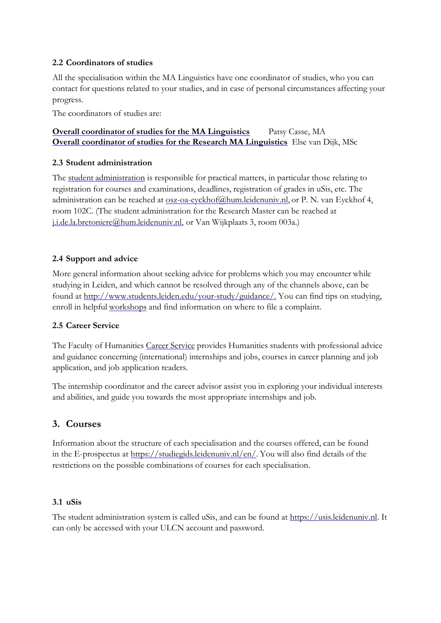#### **2.2 Coordinators of studies**

All the specialisation within the MA Linguistics have one coordinator of studies, who you can contact for questions related to your studies, and in case of personal circumstances affecting your progress.

The coordinators of studies are:

### **Overall coordinator of studies for the MA [Linguistics](http://hum.leiden.edu/linguistics/advice-linguistics/study-advice.html)** Patsy Casse, MA **[Overall coordinator of studies for the Research MA Linguistics](http://hum.leiden.edu/linguistics/advice-linguistics/study-advice.html)** Else van Dijk, MSc

#### **2.3 Student administration**

The student [administration](http://hum.leiden.edu/linguistics/contact-linguistics/secretariat-linguistics.html) is responsible for practical matters, in particular those relating to registration for courses and examinations, deadlines, registration of grades in uSis, etc. The administration can be reached at [osz-oa-eyckhof@hum.leidenuniv.nl,](mailto:ma-linguistics@hum.leidenuniv.nl) or P. N. van Eyckhof 4, room 102C. (The student administration for the Research Master can be reached at [j.i.de.la.bretoniere@hum.leidenuniv.nl,](file:///C:/Users/ewencj/AppData/Local/Microsoft/Windows/Temporary%20Internet%20Files/Content.Outlook/Y41G67KC/j.i.de.la.bretoniere@hum.leidenuniv.nl) or Van Wijkplaats 3, room 003a.)

#### **2.4 Support and advice**

More general information about seeking advice for problems which you may encounter while studying in Leiden, and which cannot be resolved through any of the channels above, can be found at http://www.students.leiden.edu/your-study/guidance/. You can find tips on studying, enroll in helpful [workshops](http://students.leiden.edu/your-study/guidance/workshop-training) and find information on where to file a complaint.

#### **2.5 Career Service**

The Faculty of Humanities [Career Service](http://hum.leiden.edu/careerservice/) provides Humanities students with professional advice and guidance concerning (international) internships and jobs, courses in career planning and job application, and job application readers.

The internship coordinator and the career advisor assist you in exploring your individual interests and abilities, and guide you towards the most appropriate internships and job.

## **3. Courses**

Information about the structure of each specialisation and the courses offered, can be found in the E-prospectus at https://studiegids.leidenuniv.nl/en/. You will also find details of the restrictions on the possible combinations of courses for each specialisation.

#### **3.1 uSis**

The student administration system is called uSis, and can be found at https://usis.leidenuniv.nl. It can only be accessed with your ULCN account and password.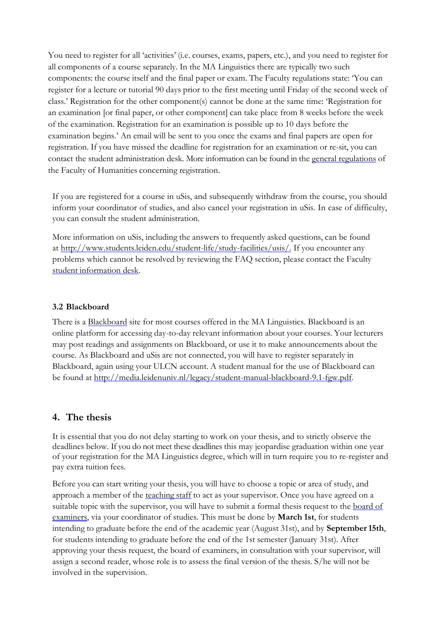You need to register for all 'activities' (i.e. courses, exams, papers, etc.), and you need to register for all components of a course separately. In the MA Linguistics there are typically two such components: the course itself and the final paper or exam. The Faculty regulations state: 'You can register for a lecture or tutorial 90 days prior to the first meeting until Friday of the second week of class.' Registration for the other component(s) cannot be done at the same time: 'Registration for an examination [or final paper, or other component] can take place from 8 weeks before the week of the examination. Registration for an examination is possible up to 10 days before the examination begins.' An email will be sent to you once the exams and final papers are open for registration. If you have missed the deadline for registration for an examination or re-sit, you can contact the student administration desk. More information can be found in the general [regulations](http://hum.leiden.edu/linguistics/regulations-linguistics/register-for-courses.html) of the Faculty of Humanities concerning registration.

If you are registered for a course in uSis, and subsequently withdraw from the course, you should inform your coordinator of studies, and also cancel your registration in uSis. In case of difficulty, you can consult the student administration.

More information on uSis, including the answers to frequently asked questions, can be found at http://www.students.leiden.edu/student-life/study-facilities/usis/. If you encounter any problems which cannot be resolved by reviewing the FAQ section, please contact the Faculty student [information desk.](http://hum.leiden.edu/students/services-facilities/informationdesk.html)

#### **3.2 Blackboard**

There is a [Blackboard](http://blackboard.leidenuniv.nl/) site for most courses offered in the MA Linguistics. Blackboard is an online platform for accessing day-to-day relevant information about your courses. Your lecturers may post readings and assignments on Blackboard, or use it to make announcements about the course. As Blackboard and uSis are not connected, you will have to register separately in Blackboard, again using your ULCN account. A student manual for the use of Blackboard can be found at http://media.leidenuniv.nl/legacy/student-manual-blackboard-9.1-fgw.pdf.

## **4. The thesis**

It is essential that you do not delay starting to work on your thesis, and to strictly observe the deadlines below. If you do not meet these deadlines this may jeopardise graduation within one year of your registration for the MA Linguistics degree, which will in turn require you to re-register and pay extra tuition fees.

Before you can start writing your thesis, you will have to choose a topic or area of study, and approach a member of the [teaching](http://hum.leiden.edu/linguistics/staff-linguistics/) staff to act as your supervisor. Once you have agreed on a suitable topic with the supervisor, you will have to submit a formal thesis request to the [board of](http://hum.leiden.edu/linguistics/boards-linguistics/board-of-examiners-linguistics.html) [examiners,](http://hum.leiden.edu/linguistics/boards-linguistics/board-of-examiners-linguistics.html) via your coordinator of studies. This must be done by **March 1st**, for students intending to graduate before the end of the academic year (August 31st), and by **September15th**, for students intending to graduate before the end of the 1st semester (January 31st). After approving your thesis request, the board of examiners, in consultation with your supervisor, will assign a second reader, whose role is to assess the final version of the thesis. S/he will not be involved in the supervision.